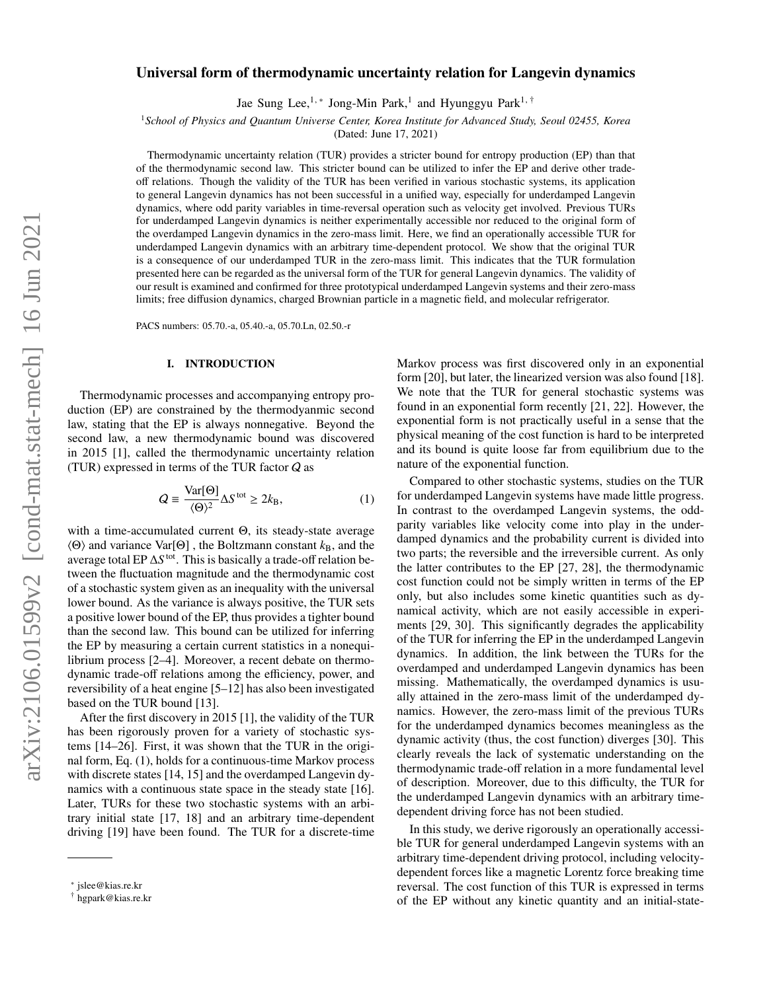# Universal form of thermodynamic uncertainty relation for Langevin dynamics

Jae Sung Lee,<sup>1,</sup> ∗ Jong-Min Park,<sup>1</sup> and Hyunggyu Park<sup>1, †</sup>

<sup>1</sup>*School of Physics and Quantum Universe Center, Korea Institute for Advanced Study, Seoul 02455, Korea*

(Dated: June 17, 2021)

Thermodynamic uncertainty relation (TUR) provides a stricter bound for entropy production (EP) than that of the thermodynamic second law. This stricter bound can be utilized to infer the EP and derive other tradeoff relations. Though the validity of the TUR has been verified in various stochastic systems, its application to general Langevin dynamics has not been successful in a unified way, especially for underdamped Langevin dynamics, where odd parity variables in time-reversal operation such as velocity get involved. Previous TURs for underdamped Langevin dynamics is neither experimentally accessible nor reduced to the original form of the overdamped Langevin dynamics in the zero-mass limit. Here, we find an operationally accessible TUR for underdamped Langevin dynamics with an arbitrary time-dependent protocol. We show that the original TUR is a consequence of our underdamped TUR in the zero-mass limit. This indicates that the TUR formulation presented here can be regarded as the universal form of the TUR for general Langevin dynamics. The validity of our result is examined and confirmed for three prototypical underdamped Langevin systems and their zero-mass limits; free diffusion dynamics, charged Brownian particle in a magnetic field, and molecular refrigerator.

PACS numbers: 05.70.-a, 05.40.-a, 05.70.Ln, 02.50.-r

# I. INTRODUCTION

Thermodynamic processes and accompanying entropy production (EP) are constrained by the thermodyanmic second law, stating that the EP is always nonnegative. Beyond the second law, a new thermodynamic bound was discovered in 2015 [1], called the thermodynamic uncertainty relation (TUR) expressed in terms of the TUR factor Q as

$$
Q = \frac{\text{Var}[\Theta]}{\langle \Theta \rangle^2} \Delta S^{\text{tot}} \ge 2k_{\text{B}},\tag{1}
$$

with a time-accumulated current Θ, its steady-state average  $\langle \Theta \rangle$  and variance Var[ $\Theta$ ], the Boltzmann constant  $k_B$ , and the average total EP ∆S<sup>tot</sup>. This is basically a trade-off relation between the fluctuation magnitude and the thermodynamic cost of a stochastic system given as an inequality with the universal lower bound. As the variance is always positive, the TUR sets a positive lower bound of the EP, thus provides a tighter bound than the second law. This bound can be utilized for inferring the EP by measuring a certain current statistics in a nonequilibrium process [2–4]. Moreover, a recent debate on thermodynamic trade-off relations among the efficiency, power, and reversibility of a heat engine [5–12] has also been investigated based on the TUR bound [13].

After the first discovery in 2015 [1], the validity of the TUR has been rigorously proven for a variety of stochastic systems [14–26]. First, it was shown that the TUR in the original form, Eq. (1), holds for a continuous-time Markov process with discrete states [14, 15] and the overdamped Langevin dynamics with a continuous state space in the steady state [16]. Later, TURs for these two stochastic systems with an arbitrary initial state [17, 18] and an arbitrary time-dependent driving [19] have been found. The TUR for a discrete-time Markov process was first discovered only in an exponential form [20], but later, the linearized version was also found [18]. We note that the TUR for general stochastic systems was found in an exponential form recently [21, 22]. However, the exponential form is not practically useful in a sense that the physical meaning of the cost function is hard to be interpreted and its bound is quite loose far from equilibrium due to the nature of the exponential function.

Compared to other stochastic systems, studies on the TUR for underdamped Langevin systems have made little progress. In contrast to the overdamped Langevin systems, the oddparity variables like velocity come into play in the underdamped dynamics and the probability current is divided into two parts; the reversible and the irreversible current. As only the latter contributes to the EP [27, 28], the thermodynamic cost function could not be simply written in terms of the EP only, but also includes some kinetic quantities such as dynamical activity, which are not easily accessible in experiments [29, 30]. This significantly degrades the applicability of the TUR for inferring the EP in the underdamped Langevin dynamics. In addition, the link between the TURs for the overdamped and underdamped Langevin dynamics has been missing. Mathematically, the overdamped dynamics is usually attained in the zero-mass limit of the underdamped dynamics. However, the zero-mass limit of the previous TURs for the underdamped dynamics becomes meaningless as the dynamic activity (thus, the cost function) diverges [30]. This clearly reveals the lack of systematic understanding on the thermodynamic trade-off relation in a more fundamental level of description. Moreover, due to this difficulty, the TUR for the underdamped Langevin dynamics with an arbitrary timedependent driving force has not been studied.

In this study, we derive rigorously an operationally accessible TUR for general underdamped Langevin systems with an arbitrary time-dependent driving protocol, including velocitydependent forces like a magnetic Lorentz force breaking time reversal. The cost function of this TUR is expressed in terms of the EP without any kinetic quantity and an initial-state-

<sup>∗</sup> jslee@kias.re.kr

<sup>†</sup> hgpark@kias.re.kr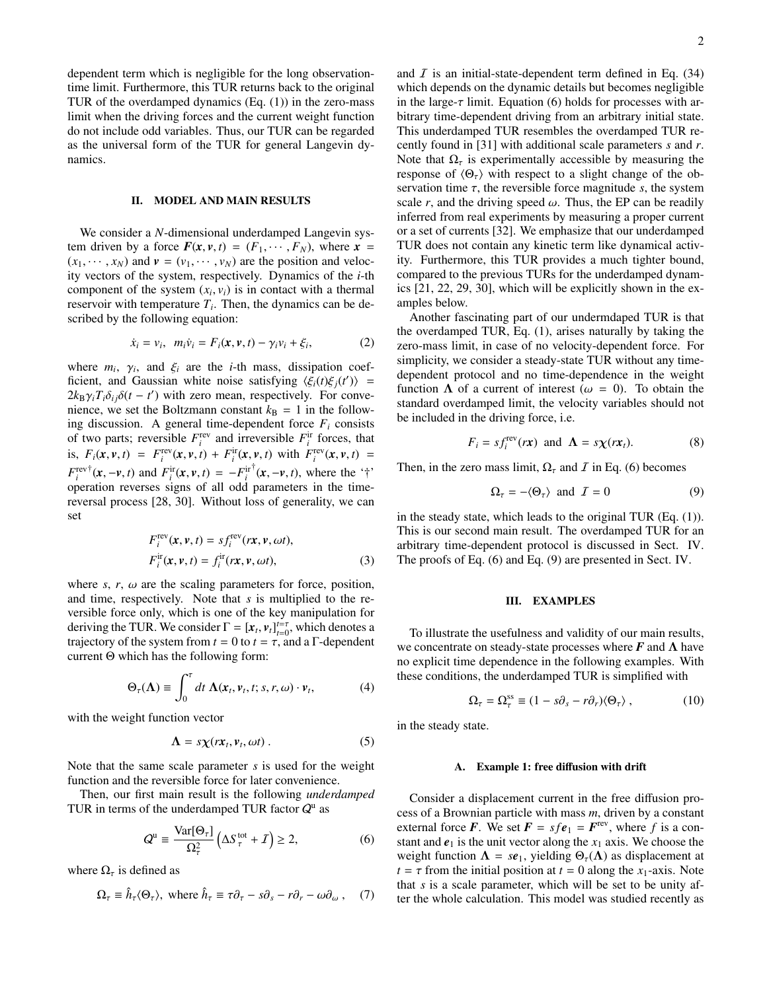dependent term which is negligible for the long observationtime limit. Furthermore, this TUR returns back to the original TUR of the overdamped dynamics  $(Eq. (1))$  in the zero-mass limit when the driving forces and the current weight function do not include odd variables. Thus, our TUR can be regarded as the universal form of the TUR for general Langevin dynamics.

# II. MODEL AND MAIN RESULTS

We consider a *N*-dimensional underdamped Langevin system driven by a force  $F(x, v, t) = (F_1, \dots, F_N)$ , where  $x =$  $(x_1, \dots, x_N)$  and  $v = (v_1, \dots, v_N)$  are the position and velocity vectors of the system, respectively. Dynamics of the *i*-th component of the system  $(x_i, v_i)$  is in contact with a thermal reservoir with temperature  $T_i$ . Then, the dynamics can be described by the following equation:

$$
\dot{x}_i = v_i, \ \ m_i \dot{v}_i = F_i(\mathbf{x}, \mathbf{v}, t) - \gamma_i v_i + \xi_i,
$$
 (2)

where  $m_i$ ,  $\gamma_i$ , and  $\xi_i$  are the *i*-th mass, dissipation coefficient, and Gaussian white noise satisfying  $\langle \xi_i(t) \xi_j(t') \rangle$  =  $2k_{\rm B}\gamma_i T_i \delta_{ij}\delta(t-t')$  with zero mean, respectively. For convenience, we set the Boltzmann constant  $k<sub>B</sub> = 1$  in the following discussion. A general time-dependent force  $F_i$  consists of two parts; reversible  $F_i^{\text{rev}}$  and irreversible  $F_i^{\text{ir}}$  forces, that is,  $F_i(x, v, t) = F_i^{\text{rev}}(x, v, t) + F_i^{\text{ir}}(x, v, t)$  with  $F_i^{\text{rev}}(x, v, t) =$  $F_i^{\text{rev}\dagger}(\mathbf{x}, -\mathbf{v}, t)$  and  $F_i^{\text{ir}}(\mathbf{x}, \mathbf{v}, t) = -F_i^{\text{ir}\dagger}(\mathbf{x}, -\mathbf{v}, t)$ , where the '†' operation reverses signs of all odd parameters in the timereversal process [28, 30]. Without loss of generality, we can set

$$
F_i^{\text{rev}}(\mathbf{x}, \mathbf{v}, t) = s f_i^{\text{rev}}(\mathbf{r}\mathbf{x}, \mathbf{v}, \omega t),
$$
  
\n
$$
F_i^{\text{ir}}(\mathbf{x}, \mathbf{v}, t) = f_i^{\text{ir}}(\mathbf{r}\mathbf{x}, \mathbf{v}, \omega t),
$$
\n(3)

where  $s, r, \omega$  are the scaling parameters for force, position, and time, respectively. Note that *s* is multiplied to the reversible force only, which is one of the key manipulation for deriving the TUR. We consider  $\Gamma = [x_t, v_t]_{t=0}^{t=\tau}$ , which denotes a trajectory of the system from  $t = 0$  to  $t = \tau$ , and a  $\Gamma$ -dependent current Θ which has the following form:

$$
\Theta_{\tau}(\Lambda) \equiv \int_0^{\tau} dt \; \Lambda(x_t, v_t, t; s, r, \omega) \cdot v_t, \tag{4}
$$

with the weight function vector

$$
\Lambda = s\chi(rx_t, v_t, \omega t) \,. \tag{5}
$$

Note that the same scale parameter *s* is used for the weight function and the reversible force for later convenience.

Then, our first main result is the following *underdamped* TUR in terms of the underdamped TUR factor  $Q^{\text{u}}$  as

$$
Q^{\mathrm{u}} \equiv \frac{\mathrm{Var}[\Theta_{\tau}]}{\Omega_{\tau}^{2}} \left( \Delta S_{\tau}^{\mathrm{tot}} + I \right) \geq 2, \tag{6}
$$

where  $\Omega_{\tau}$  is defined as

$$
\Omega_{\tau} \equiv \hat{h}_{\tau}(\Theta_{\tau}), \text{ where } \hat{h}_{\tau} \equiv \tau \partial_{\tau} - s\partial_{s} - r\partial_{r} - \omega \partial_{\omega}, \quad (7)
$$

and  $I$  is an initial-state-dependent term defined in Eq. (34) which depends on the dynamic details but becomes negligible in the large- $\tau$  limit. Equation (6) holds for processes with arbitrary time-dependent driving from an arbitrary initial state. This underdamped TUR resembles the overdamped TUR recently found in [31] with additional scale parameters *s* and *r*. Note that  $\Omega_{\tau}$  is experimentally accessible by measuring the response of  $\langle \Theta_{\tau} \rangle$  with respect to a slight change of the observation time  $\tau$ , the reversible force magnitude *s*, the system scale *r*, and the driving speed  $\omega$ . Thus, the EP can be readily inferred from real experiments by measuring a proper current or a set of currents [32]. We emphasize that our underdamped TUR does not contain any kinetic term like dynamical activity. Furthermore, this TUR provides a much tighter bound, compared to the previous TURs for the underdamped dynamics [21, 22, 29, 30], which will be explicitly shown in the examples below.

Another fascinating part of our undermdaped TUR is that the overdamped TUR, Eq. (1), arises naturally by taking the zero-mass limit, in case of no velocity-dependent force. For simplicity, we consider a steady-state TUR without any timedependent protocol and no time-dependence in the weight function  $\Lambda$  of a current of interest ( $\omega = 0$ ). To obtain the standard overdamped limit, the velocity variables should not be included in the driving force, i.e.

$$
F_i = s f_i^{\text{rev}}(r\mathbf{x}) \text{ and } \mathbf{\Lambda} = s \mathbf{\chi}(r\mathbf{x}_t). \tag{8}
$$

Then, in the zero mass limit,  $\Omega_{\tau}$  and *I* in Eq. (6) becomes

$$
\Omega_{\tau} = -\langle \Theta_{\tau} \rangle \text{ and } \mathcal{I} = 0 \tag{9}
$$

in the steady state, which leads to the original TUR (Eq. (1)). This is our second main result. The overdamped TUR for an arbitrary time-dependent protocol is discussed in Sect. IV. The proofs of Eq. (6) and Eq. (9) are presented in Sect. IV.

### III. EXAMPLES

To illustrate the usefulness and validity of our main results, we concentrate on steady-state processes where  $F$  and  $\Lambda$  have no explicit time dependence in the following examples. With these conditions, the underdamped TUR is simplified with

$$
\Omega_{\tau} = \Omega_{\tau}^{\rm ss} \equiv (1 - s\partial_s - r\partial_r) \langle \Theta_{\tau} \rangle \,, \tag{10}
$$

in the steady state.

#### A. Example 1: free diffusion with drift

Consider a displacement current in the free diffusion process of a Brownian particle with mass *m*, driven by a constant external force *F*. We set  $F = s f e_1 = F^{\text{rev}}$ , where *f* is a constant and  $e_1$  is the unit vector along the  $x_1$  axis. We choose the weight function  $\Lambda = s e_1$ , yielding  $\Theta_{\tau}(\Lambda)$  as displacement at  $t = \tau$  from the initial position at  $t = 0$  along the *x*<sub>1</sub>-axis. Note that *s* is a scale parameter, which will be set to be unity after the whole calculation. This model was studied recently as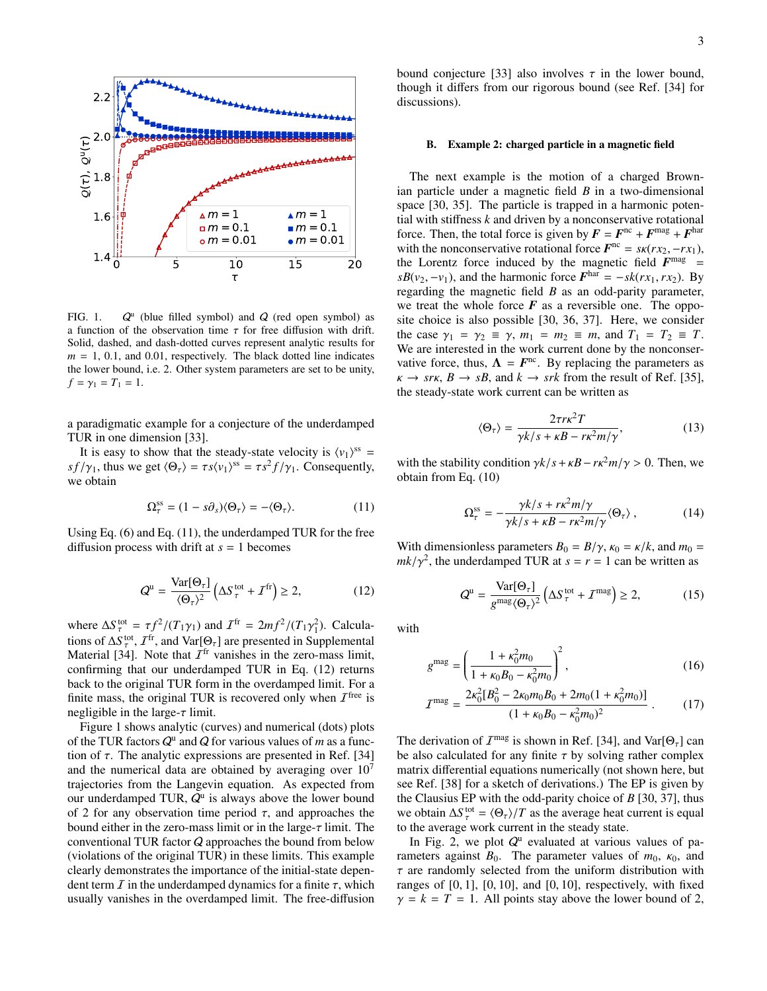

FIG. 1. Q  $^u$  (blue filled symbol) and  $Q$  (red open symbol) as a function of the observation time  $\tau$  for free diffusion with drift. Solid, dashed, and dash-dotted curves represent analytic results for  $m = 1, 0.1,$  and 0.01, respectively. The black dotted line indicates the lower bound, i.e. 2. Other system parameters are set to be unity,  $f = \gamma_1 = T_1 = 1.$ 

a paradigmatic example for a conjecture of the underdamped TUR in one dimension [33].

It is easy to show that the steady-state velocity is  $\langle v_1 \rangle^{ss} =$ *sf*/ $\gamma_1$ , thus we get  $\langle \Theta_\tau \rangle = \tau s \langle \nu_1 \rangle^{ss} = \tau s^2 f / \gamma_1$ . Consequently, we obtain

$$
\Omega_{\tau}^{\rm ss} = (1 - s\partial_s) \langle \Theta_{\tau} \rangle = - \langle \Theta_{\tau} \rangle. \tag{11}
$$

Using Eq. (6) and Eq. (11), the underdamped TUR for the free diffusion process with drift at  $s = 1$  becomes

$$
Q^{\mathrm{u}} = \frac{\text{Var}[\Theta_{\tau}]}{\langle \Theta_{\tau} \rangle^{2}} \left( \Delta S_{\tau}^{\mathrm{tot}} + \mathcal{I}^{\mathrm{fr}} \right) \geq 2, \tag{12}
$$

where  $\Delta S_{\tau}^{\text{tot}} = \tau f^2 / (T_1 \gamma_1)$  and  $\mathcal{I}^{\text{fr}} = 2mf^2 / (T_1 \gamma_1^2)$ . Calculations of  $\Delta S_{\tau}^{\text{tot}}$ ,  $\mathcal{I}^{\text{fr}}$ , and  $\text{Var}[\Theta_{\tau}]$  are presented in Supplemental Material [34]. Note that  $\mathcal{I}^{\text{fr}}$  vanishes in the zero-mass limit, confirming that our underdamped TUR in Eq. (12) returns back to the original TUR form in the overdamped limit. For a finite mass, the original TUR is recovered only when  $\mathcal{I}^{\text{free}}$  is negligible in the large- $\tau$  limit.

Figure 1 shows analytic (curves) and numerical (dots) plots of the TUR factors  $Q^u$  and  $Q$  for various values of *m* as a function of  $\tau$ . The analytic expressions are presented in Ref. [34] and the numerical data are obtained by averaging over  $10<sup>7</sup>$ trajectories from the Langevin equation. As expected from our underdamped TUR,  $Q^u$  is always above the lower bound of 2 for any observation time period  $\tau$ , and approaches the bound either in the zero-mass limit or in the large- $\tau$  limit. The conventional TUR factor Q approaches the bound from below (violations of the original TUR) in these limits. This example clearly demonstrates the importance of the initial-state dependent term  $\overline{I}$  in the underdamped dynamics for a finite  $\tau$ , which usually vanishes in the overdamped limit. The free-diffusion

bound conjecture [33] also involves  $\tau$  in the lower bound, though it differs from our rigorous bound (see Ref. [34] for discussions).

## B. Example 2: charged particle in a magnetic field

The next example is the motion of a charged Brownian particle under a magnetic field *B* in a two-dimensional space [30, 35]. The particle is trapped in a harmonic potential with stiffness *k* and driven by a nonconservative rotational force. Then, the total force is given by  $\mathbf{F} = \mathbf{F}^{\text{nc}} + \mathbf{F}^{\text{mag}} + \mathbf{F}^{\text{har}}$ with the nonconservative rotational force  $F^{\text{nc}} = s\kappa(rx_2, -rx_1),$ the Lorentz force induced by the magnetic field  $F<sup>mag</sup>$  =  $sB(v_2, -v_1)$ , and the harmonic force  $F^{\text{har}} = -sk(rx_1, rx_2)$ . By regarding the magnetic field *B* as an odd-parity parameter, we treat the whole force  $\vec{F}$  as a reversible one. The opposite choice is also possible [30, 36, 37]. Here, we consider the case  $\gamma_1 = \gamma_2 \equiv \gamma$ ,  $m_1 = m_2 \equiv m$ , and  $T_1 = T_2 \equiv T$ . We are interested in the work current done by the nonconservative force, thus,  $\Lambda = F^{\text{nc}}$ . By replacing the parameters as  $\kappa \to sr\kappa$ ,  $B \to sB$ , and  $k \to sr\kappa$  from the result of Ref. [35], the steady-state work current can be written as

$$
\langle \Theta_{\tau} \rangle = \frac{2\tau r \kappa^2 T}{\gamma k / s + \kappa B - r \kappa^2 m / \gamma},\tag{13}
$$

with the stability condition  $\gamma k/s + \kappa B - r\kappa^2 m/\gamma > 0$ . Then, we obtain from Eq. (10)

$$
\Omega_{\tau}^{\rm ss} = -\frac{\gamma k/s + r\kappa^2 m/\gamma}{\gamma k/s + \kappa B - r\kappa^2 m/\gamma} \langle \Theta_{\tau} \rangle \,, \tag{14}
$$

With dimensionless parameters  $B_0 = B/\gamma$ ,  $\kappa_0 = \kappa/k$ , and  $m_0 =$  $mk/\gamma^2$ , the underdamped TUR at  $s = r = 1$  can be written as

$$
Q^{\mathrm{u}} = \frac{\mathrm{Var}[\Theta_{\tau}]}{g^{\mathrm{mag}} \langle \Theta_{\tau} \rangle^2} \left( \Delta S_{\tau}^{\mathrm{tot}} + \mathcal{I}^{\mathrm{mag}} \right) \ge 2, \tag{15}
$$

with

$$
g^{\text{mag}} = \left(\frac{1 + \kappa_0^2 m_0}{1 + \kappa_0 B_0 - \kappa_0^2 m_0}\right)^2, \tag{16}
$$

$$
I^{\text{mag}} = \frac{2\kappa_0^2 [B_0^2 - 2\kappa_0 m_0 B_0 + 2m_0 (1 + \kappa_0^2 m_0)]}{(1 + \kappa_0 B_0 - \kappa_0^2 m_0)^2} \,. \tag{17}
$$

The derivation of  $I^{mag}$  is shown in Ref. [34], and  $Var[\Theta_{\tau}]$  can be also calculated for any finite  $\tau$  by solving rather complex matrix differential equations numerically (not shown here, but see Ref. [38] for a sketch of derivations.) The EP is given by the Clausius EP with the odd-parity choice of *B* [30, 37], thus we obtain  $\Delta S_{\tau}^{\text{tot}} = \langle \Theta_{\tau} \rangle / T$  as the average heat current is equal to the average work current in the steady state.

In Fig. 2, we plot  $Q^u$  evaluated at various values of parameters against  $B_0$ . The parameter values of  $m_0$ ,  $\kappa_0$ , and  $\tau$  are randomly selected from the uniform distribution with ranges of  $[0, 1]$ ,  $[0, 10]$ , and  $[0, 10]$ , respectively, with fixed  $\gamma = k = T = 1$ . All points stay above the lower bound of 2,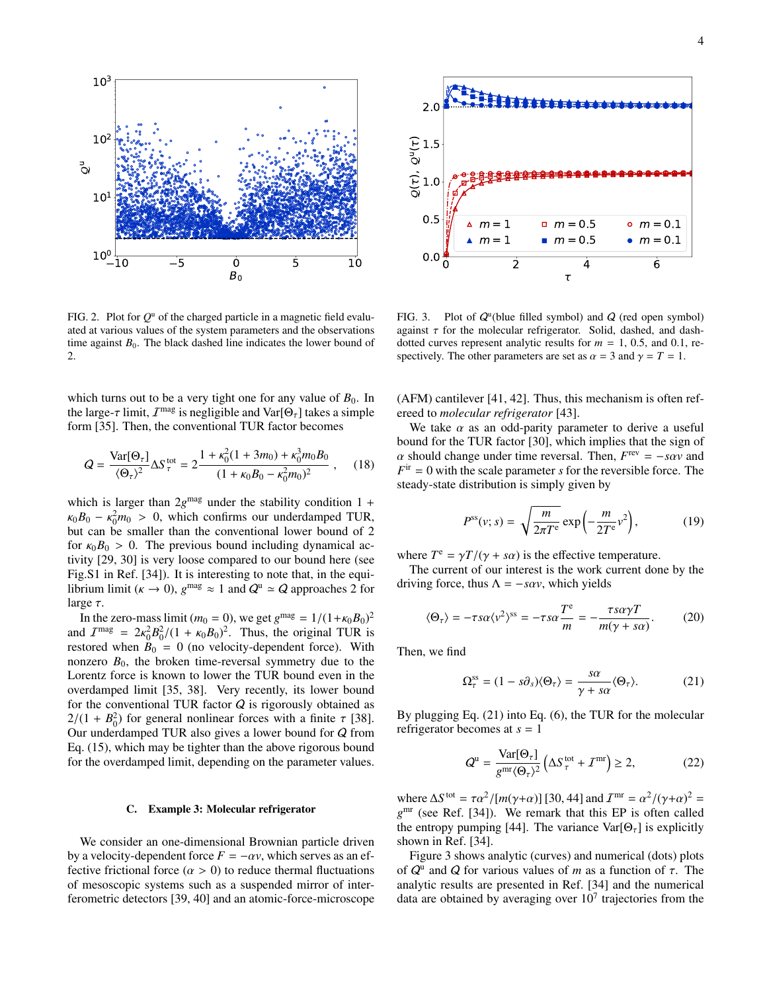

FIG. 2. Plot for  $Q^u$  of the charged particle in a magnetic field evaluated at various values of the system parameters and the observations time against  $B_0$ . The black dashed line indicates the lower bound of 2.

which turns out to be a very tight one for any value of  $B_0$ . In the large- $\tau$  limit,  $I^{\text{mag}}$  is negligible and  $\text{Var}[\Theta_{\tau}]$  takes a simple form [35]. Then, the conventional TUR factor becomes

$$
Q = \frac{\text{Var}[\Theta_{\tau}]}{\langle \Theta_{\tau} \rangle^2} \Delta S_{\tau}^{\text{tot}} = 2 \frac{1 + \kappa_0^2 (1 + 3m_0) + \kappa_0^3 m_0 B_0}{(1 + \kappa_0 B_0 - \kappa_0^2 m_0)^2} , \quad (18)
$$

which is larger than  $2g^{mag}$  under the stability condition  $1 +$  $\kappa_0 B_0 - \kappa_0^2 m_0 > 0$ , which confirms our underdamped TUR, but can be smaller than the conventional lower bound of 2 for  $\kappa_0 B_0 > 0$ . The previous bound including dynamical activity [29, 30] is very loose compared to our bound here (see Fig.S1 in Ref. [34]). It is interesting to note that, in the equilibrium limit ( $\kappa \to 0$ ),  $g^{\text{mag}} \approx 1$  and  $Q^{\text{u}} \simeq Q$  approaches 2 for large  $\tau$ .

In the zero-mass limit (*m*<sub>0</sub> = 0), we get  $g^{\text{mag}} = 1/(1 + \kappa_0 B_0)^2$ and  $\mathcal{I}^{\text{mag}} = 2\kappa_0^2 B_0^2/(1 + \kappa_0 B_0)^2$ . Thus, the original TUR is restored when  $B_0 = 0$  (no velocity-dependent force). With nonzero  $B_0$ , the broken time-reversal symmetry due to the Lorentz force is known to lower the TUR bound even in the overdamped limit [35, 38]. Very recently, its lower bound for the conventional TUR factor  $Q$  is rigorously obtained as  $2/(1 + B_0^2)$  for general nonlinear forces with a finite  $\tau$  [38]. Our underdamped TUR also gives a lower bound for Q from Eq. (15), which may be tighter than the above rigorous bound for the overdamped limit, depending on the parameter values. FIG. 2. Plot for the contrast of the material of the constrained the control of the control of the control of the control of the control of the control of the control of the control of the control of the control of the

# C. Example 3: Molecular refrigerator

We consider an one-dimensional Brownian particle driven by a velocity-dependent force  $F = -\alpha v$ , which serves as an effective frictional force  $(\alpha > 0)$  to reduce thermal fluctuations of mesoscopic systems such as a suspended mirror of inter-



FIG. 3. Plot of  $Q^u$ (blue filled symbol) and  $Q$  (red open symbol) against  $\tau$  for the molecular refrigerator. Solid, dashed, and dashdotted curves represent analytic results for  $m = 1, 0.5,$  and 0.1, respectively. The other parameters are set as  $\alpha = 3$  and  $\gamma = T = 1$ .

(AFM) cantilever [41, 42]. Thus, this mechanism is often refereed to *molecular refrigerator* [43].

We take  $\alpha$  as an odd-parity parameter to derive a useful bound for the TUR factor [30], which implies that the sign of  $\alpha$  should change under time reversal. Then,  $F^{\text{rev}} = -s\alpha v$  and  $F$ <sup>ir</sup> = 0 with the scale parameter *s* for the reversible force. The steady-state distribution is simply given by

$$
P^{\rm ss}(v;s) = \sqrt{\frac{m}{2\pi T^{\rm e}}} \exp\left(-\frac{m}{2T^{\rm e}}v^2\right),\tag{19}
$$

where  $T^e = \gamma T/(\gamma + s\alpha)$  is the effective temperature.

The current of our interest is the work current done by the driving force, thus  $\Lambda = -s\alpha v$ , which yields

$$
\langle \Theta_{\tau} \rangle = -\tau s \alpha \langle v^2 \rangle^{\rm ss} = -\tau s \alpha \frac{T^{\rm e}}{m} = -\frac{\tau s \alpha \gamma T}{m(\gamma + s \alpha)}.
$$
 (20)

Then, we find

$$
\Omega_{\tau}^{\rm ss} = (1 - s\partial_s) \langle \Theta_{\tau} \rangle = \frac{s\alpha}{\gamma + s\alpha} \langle \Theta_{\tau} \rangle. \tag{21}
$$

By plugging Eq. (21) into Eq. (6), the TUR for the molecular refrigerator becomes at *s* = 1

$$
Q^{\mathrm{u}} = \frac{\mathrm{Var}[\Theta_{\tau}]}{g^{\mathrm{mr}} \langle \Theta_{\tau} \rangle^2} \left( \Delta S_{\tau}^{\mathrm{tot}} + \mathcal{I}^{\mathrm{mr}} \right) \ge 2, \tag{22}
$$

where  $\Delta S^{\text{tot}} = \tau \alpha^2 / [m(\gamma + \alpha)]$  [30, 44] and  $I^{\text{mr}} = \alpha^2 / (\gamma + \alpha)^2$  = *g* mr (see Ref. [34]). We remark that this EP is often called the entropy pumping [44]. The variance  $Var[\Theta_{\tau}]$  is explicitly shown in Ref. [34].

Figure 3 shows analytic (curves) and numerical (dots) plots of  $Q^u$  and  $Q$  for various values of *m* as a function of  $\tau$ . The analytic results are presented in Ref. [34] and the numerical data are obtained by averaging over  $10<sup>7</sup>$  trajectories from the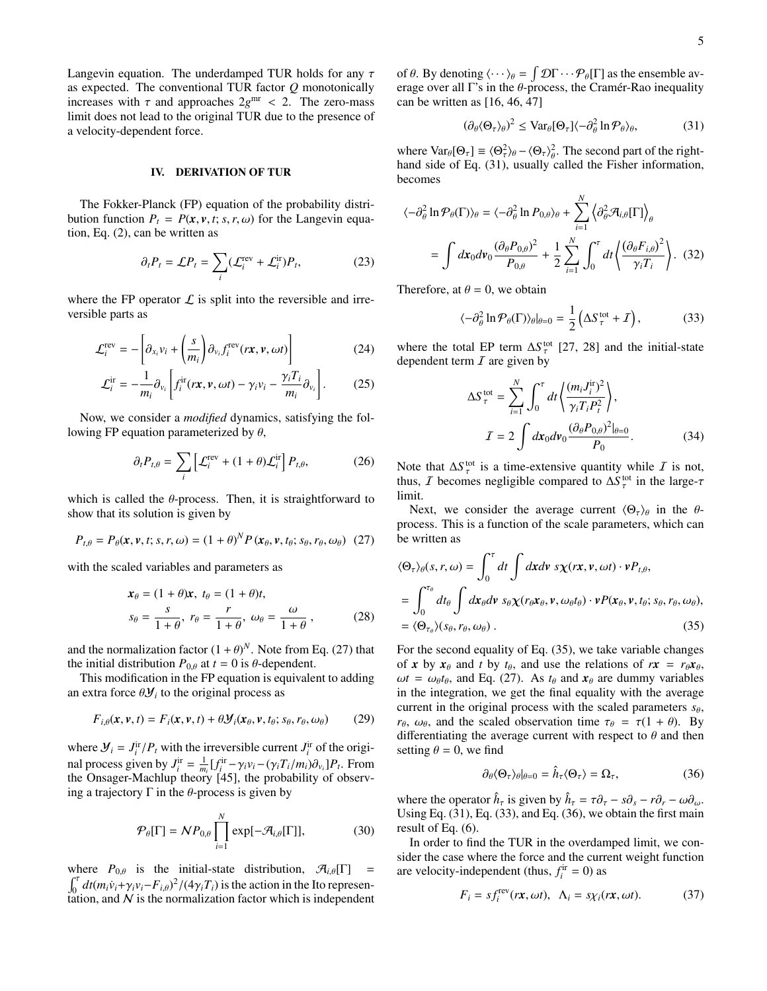Langevin equation. The underdamped TUR holds for any  $\tau$ as expected. The conventional TUR factor *Q* monotonically increases with  $\tau$  and approaches  $2g^{\text{mr}} < 2$ . The zero-mass limit does not lead to the original TUR due to the presence of a velocity-dependent force.

# IV. DERIVATION OF TUR

The Fokker-Planck (FP) equation of the probability distribution function  $P_t = P(x, v, t; s, r, \omega)$  for the Langevin equation, Eq. (2), can be written as

$$
\partial_t P_t = \mathcal{L} P_t = \sum_i (\mathcal{L}_i^{\text{rev}} + \mathcal{L}_i^{\text{ir}}) P_t,\tag{23}
$$

where the FP operator  $\mathcal L$  is split into the reversible and irreversible parts as

$$
\mathcal{L}_i^{\text{rev}} = -\left[\partial_{x_i} v_i + \left(\frac{s}{m_i}\right) \partial_{v_i} f_i^{\text{rev}}(r\mathbf{x}, \mathbf{v}, \omega t)\right]
$$
(24)

$$
\mathcal{L}_i^{\text{ir}} = -\frac{1}{m_i} \partial_{\nu_i} \left[ f_i^{\text{ir}}(r\mathbf{x}, \mathbf{v}, \omega t) - \gamma_i \nu_i - \frac{\gamma_i T_i}{m_i} \partial_{\nu_i} \right]. \tag{25}
$$

Now, we consider a *modified* dynamics, satisfying the following FP equation parameterized by  $\theta$ ,

$$
\partial_t P_{t,\theta} = \sum_i \left[ \mathcal{L}_i^{\text{rev}} + (1+\theta) \mathcal{L}_i^{\text{ir}} \right] P_{t,\theta}, \tag{26}
$$

which is called the  $\theta$ -process. Then, it is straightforward to show that its solution is given by

$$
P_{t,\theta} = P_{\theta}(\mathbf{x}, \mathbf{v}, t; s, r, \omega) = (1 + \theta)^N P(\mathbf{x}_{\theta}, \mathbf{v}, t_{\theta}; s_{\theta}, r_{\theta}, \omega_{\theta}) \tag{27}
$$

with the scaled variables and parameters as

$$
\mathbf{x}_{\theta} = (1 + \theta)\mathbf{x}, \ t_{\theta} = (1 + \theta)t,
$$
  
\n
$$
s_{\theta} = \frac{s}{1 + \theta}, \ r_{\theta} = \frac{r}{1 + \theta}, \ \omega_{\theta} = \frac{\omega}{1 + \theta}, \tag{28}
$$

and the normalization factor  $(1 + \theta)^N$ . Note from Eq. (27) that the initial distribution  $P_{0,\theta}$  at  $t = 0$  is  $\theta$ -dependent.

This modification in the FP equation is equivalent to adding an extra force  $\theta$ *y*<sub>*i*</sub> to the original process as

$$
F_{i,\theta}(\mathbf{x},\mathbf{v},t) = F_i(\mathbf{x},\mathbf{v},t) + \theta \mathcal{Y}_i(\mathbf{x}_\theta,\mathbf{v},t_\theta; s_\theta, r_\theta, \omega_\theta)
$$
(29)

where  $\mathcal{Y}_i = J_i^{\text{ir}}/P_t$  with the irreversible current  $J_i^{\text{ir}}$  of the original process given by  $J_i^{\text{ir}} = \frac{1}{m_i} [f_i^{\text{ir}} - \gamma_i v_i - (\gamma_i T_i / m_i) \partial_{v_i}] P_t$ . From the Onsager-Machlup theory  $[45]$ , the probability of observing a trajectory Γ in the  $θ$ -process is given by

$$
\mathcal{P}_{\theta}[\Gamma] = \mathcal{N}P_{0,\theta} \prod_{i=1}^{N} \exp[-\mathcal{A}_{i,\theta}[\Gamma]], \qquad (30)
$$

where  $P_{0,\theta}$  is the initial-state distribution,  $\mathcal{A}_{i,\theta}[\Gamma] =$  $\int_0^{\tau} dt (m_i \dot{v}_i + \gamma_i v_i - F_{i,\theta})^2 / (4 \gamma_i T_i)$  is the action in the Ito representation, and  $N$  is the normalization factor which is independent

of  $\theta$ . By denoting  $\langle \cdots \rangle_{\theta} = \int \mathcal{D} \Gamma \cdots \mathcal{P}_{\theta}[\Gamma]$  as the ensemble average over all  $\Gamma$ 's in the  $\theta$ -process, the Cramér-Rao inequality can be written as [16, 46, 47]

$$
(\partial_{\theta} \langle \Theta_{\tau} \rangle_{\theta})^2 \leq \text{Var}_{\theta}[\Theta_{\tau}] \langle -\partial_{\theta}^2 \ln \mathcal{P}_{\theta} \rangle_{\theta},\tag{31}
$$

where  $\text{Var}_{\theta}[\Theta_{\tau}] \equiv \langle \Theta_{\tau}^2 \rangle_{\theta} - \langle \Theta_{\tau} \rangle_{\theta}^2$ . The second part of the righthand side of Eq. (31), usually called the Fisher information, becomes

$$
\langle -\partial_{\theta}^{2} \ln \mathcal{P}_{\theta}(\Gamma) \rangle_{\theta} = \langle -\partial_{\theta}^{2} \ln P_{0,\theta} \rangle_{\theta} + \sum_{i=1}^{N} \left\langle \partial_{\theta}^{2} \mathcal{A}_{i,\theta}[\Gamma] \right\rangle_{\theta}
$$

$$
= \int dx_{0} dv_{0} \frac{(\partial_{\theta} P_{0,\theta})^{2}}{P_{0,\theta}} + \frac{1}{2} \sum_{i=1}^{N} \int_{0}^{\tau} dt \left\langle \frac{(\partial_{\theta} F_{i,\theta})^{2}}{\gamma_{i} T_{i}} \right\rangle. (32)
$$

Therefore, at  $\theta = 0$ , we obtain

$$
\langle -\partial_{\theta}^{2} \ln \mathcal{P}_{\theta}(\Gamma) \rangle_{\theta}|_{\theta=0} = \frac{1}{2} \left( \Delta S_{\tau}^{\text{tot}} + I \right), \tag{33}
$$

where the total EP term  $\Delta S_{\tau}^{\text{tot}}$  [27, 28] and the initial-state dependent term  $I$  are given by

$$
\Delta S_{\tau}^{\text{tot}} = \sum_{i=1}^{N} \int_0^{\tau} dt \left\langle \frac{(m_i J_i^{\text{ir}})^2}{\gamma_i T_i P_i^2} \right\rangle,
$$
  

$$
I = 2 \int dx_0 dv_0 \frac{(\partial_{\theta} P_{0,\theta})^2|_{\theta=0}}{P_0}.
$$
 (34)

Note that  $\Delta S_{\tau}^{\text{tot}}$  is a time-extensive quantity while  $\overline{I}$  is not, thus, *I* becomes negligible compared to  $\Delta S_{\tau}^{\text{tot}}$  in the large- $\tau$ limit.

Next, we consider the average current  $\langle \Theta_{\tau} \rangle_{\theta}$  in the  $\theta$ process. This is a function of the scale parameters, which can be written as

$$
\langle \Theta_{\tau} \rangle_{\theta}(s, r, \omega) = \int_0^{\tau} dt \int dx dv \ s \chi(rx, v, \omega t) \cdot v P_{t, \theta},
$$
  
= 
$$
\int_0^{\tau_{\theta}} dt_{\theta} \int dx_{\theta} dv \ s_{\theta} \chi(r_{\theta} x_{\theta}, v, \omega_{\theta} t_{\theta}) \cdot v P(x_{\theta}, v, t_{\theta}; s_{\theta}, r_{\theta}, \omega_{\theta}),
$$
  
= 
$$
\langle \Theta_{\tau_{\theta}} \rangle (s_{\theta}, r_{\theta}, \omega_{\theta}).
$$
 (35)

For the second equality of Eq. (35), we take variable changes of *x* by  $x_{\theta}$  and *t* by  $t_{\theta}$ , and use the relations of  $r x = r_{\theta} x_{\theta}$ ,  $\omega t = \omega_{\theta} t_{\theta}$ , and Eq. (27). As  $t_{\theta}$  and  $\mathbf{x}_{\theta}$  are dummy variables in the integration, we get the final equality with the average current in the original process with the scaled parameters  $s_{\theta}$ , *r*<sub>θ</sub>,  $\omega_{\theta}$ , and the scaled observation time  $\tau_{\theta} = \tau(1 + \theta)$ . By differentiating the average current with respect to  $\theta$  and then setting  $\theta = 0$ , we find

$$
\partial_{\theta} \langle \Theta_{\tau} \rangle_{\theta} |_{\theta=0} = \hat{h}_{\tau} \langle \Theta_{\tau} \rangle = \Omega_{\tau}, \tag{36}
$$

where the operator  $\hat{h}_{\tau}$  is given by  $\hat{h}_{\tau} = \tau \partial_{\tau} - s \partial_{s} - r \partial_{r} - \omega \partial_{\omega}$ . Using Eq. (31), Eq. (33), and Eq. (36), we obtain the first main result of Eq. (6).

In order to find the TUR in the overdamped limit, we consider the case where the force and the current weight function are velocity-independent (thus,  $f_i^{\text{ir}} = 0$ ) as

$$
F_i = s f_i^{\text{rev}}(r\mathbf{x}, \omega t), \ \ \Lambda_i = s \chi_i(r\mathbf{x}, \omega t). \tag{37}
$$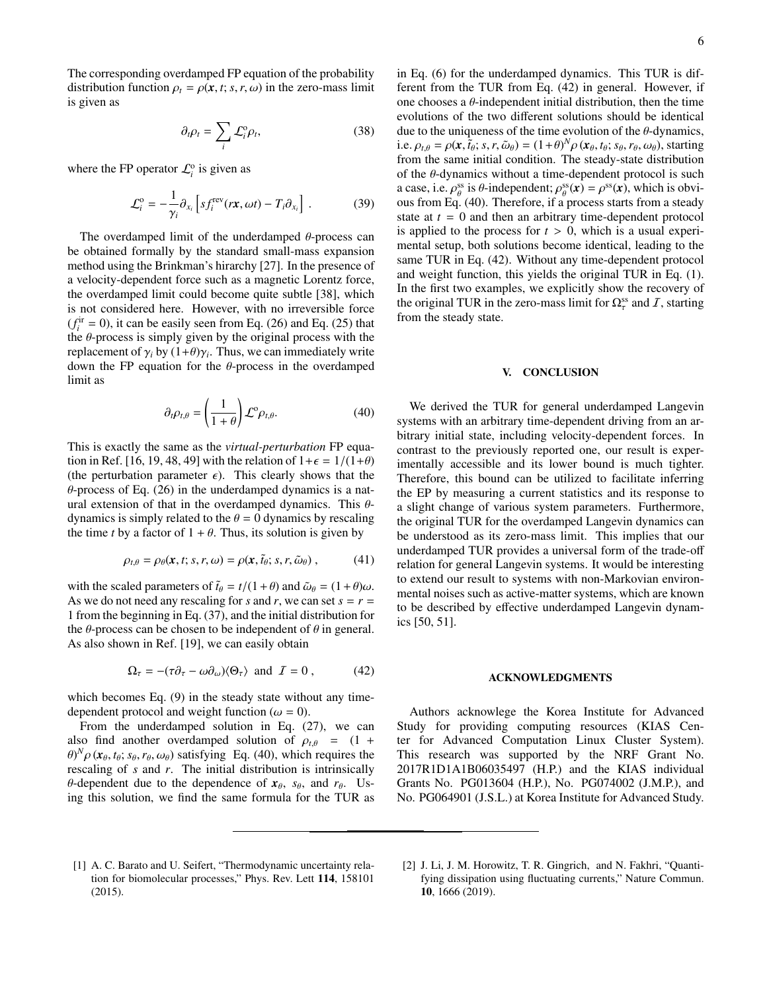The corresponding overdamped FP equation of the probability distribution function  $\rho_t = \rho(\mathbf{x}, t; s, r, \omega)$  in the zero-mass limit is given as

$$
\partial_t \rho_t = \sum_i \mathcal{L}_i^0 \rho_t,\tag{38}
$$

where the FP operator  $\mathcal{L}_i^{\text{o}}$  is given as

$$
\mathcal{L}_i^{\text{o}} = -\frac{1}{\gamma_i} \partial_{x_i} \left[ s f_i^{\text{rev}}(r\mathbf{x}, \omega t) - T_i \partial_{x_i} \right] . \tag{39}
$$

The overdamped limit of the underdamped  $\theta$ -process can be obtained formally by the standard small-mass expansion method using the Brinkman's hirarchy [27]. In the presence of a velocity-dependent force such as a magnetic Lorentz force, the overdamped limit could become quite subtle [38], which is not considered here. However, with no irreversible force  $(f_i^{\text{ir}} = 0)$ , it can be easily seen from Eq. (26) and Eq. (25) that the  $\theta$ -process is simply given by the original process with the replacement of  $\gamma_i$  by  $(1+\theta)\gamma_i$ . Thus, we can immediately write down the FP equation for the  $\theta$ -process in the overdamped limit as

$$
\partial_t \rho_{t,\theta} = \left(\frac{1}{1+\theta}\right) \mathcal{L}^{\circ} \rho_{t,\theta}.
$$
 (40)

This is exactly the same as the *virtual-perturbation* FP equation in Ref. [16, 19, 48, 49] with the relation of  $1+\epsilon = 1/(1+\theta)$ (the perturbation parameter  $\epsilon$ ). This clearly shows that the  $\theta$ -process of Eq. (26) in the underdamped dynamics is a natural extension of that in the overdamped dynamics. This  $\theta$ dynamics is simply related to the  $\theta = 0$  dynamics by rescaling the time *t* by a factor of  $1 + \theta$ . Thus, its solution is given by

$$
\rho_{t,\theta} = \rho_{\theta}(\mathbf{x},t;s,r,\omega) = \rho(\mathbf{x},\tilde{t}_{\theta};s,r,\tilde{\omega}_{\theta}), \qquad (41)
$$

with the scaled parameters of  $\tilde{t}_{\theta} = t/(1 + \theta)$  and  $\tilde{\omega}_{\theta} = (1 + \theta)\omega$ . As we do not need any rescaling for *s* and *r*, we can set  $s = r =$ 1 from the beginning in Eq. (37), and the initial distribution for the  $\theta$ -process can be chosen to be independent of  $\theta$  in general. As also shown in Ref. [19], we can easily obtain

$$
\Omega_{\tau} = -(\tau \partial_{\tau} - \omega \partial_{\omega}) \langle \Theta_{\tau} \rangle \text{ and } \mathcal{I} = 0, \quad (42)
$$

which becomes Eq. (9) in the steady state without any timedependent protocol and weight function ( $\omega = 0$ ).

From the underdamped solution in Eq. (27), we can also find another overdamped solution of  $\rho_{t,\theta} = (1 +$  $\theta$ <sup>N</sup> $\rho$  ( $\mathbf{x}_{\theta}$ ,  $t_{\theta}$ ;  $s_{\theta}$ ,  $r_{\theta}$ ,  $\omega_{\theta}$ ) satisfying Eq. (40), which requires the rescaling of *s* and *r*. The initial distribution is intrinsically  $\theta$ -dependent due to the dependence of  $x_{\theta}$ ,  $s_{\theta}$ , and  $r_{\theta}$ . Using this solution, we find the same formula for the TUR as

in Eq. (6) for the underdamped dynamics. This TUR is different from the TUR from Eq. (42) in general. However, if one chooses a  $\theta$ -independent initial distribution, then the time evolutions of the two different solutions should be identical due to the uniqueness of the time evolution of the  $\theta$ -dynamics, i.e.  $\rho_{t,\theta} = \rho(\mathbf{x}, \tilde{t}_{\theta}; s, r, \tilde{\omega}_{\theta}) = (1+\theta)^N \rho(\mathbf{x}_{\theta}, t_{\theta}; s_{\theta}, r_{\theta}, \omega_{\theta})$ , starting from the same initial condition. The steady-state distribution of the  $\theta$ -dynamics without a time-dependent protocol is such a case, i.e.  $\rho_{\theta}^{ss}$  is  $\theta$ -independent;  $\rho_{\theta}^{ss}(x) = \rho^{ss}(x)$ , which is obvious from Eq. (40). Therefore, if a process starts from a steady state at *t* = 0 and then an arbitrary time-dependent protocol is applied to the process for  $t > 0$ , which is a usual experimental setup, both solutions become identical, leading to the same TUR in Eq. (42). Without any time-dependent protocol and weight function, this yields the original TUR in Eq. (1). In the first two examples, we explicitly show the recovery of the original TUR in the zero-mass limit for  $\Omega_{\tau}^{\text{ss}}$  and  $I$ , starting from the steady state.

## V. CONCLUSION

We derived the TUR for general underdamped Langevin systems with an arbitrary time-dependent driving from an arbitrary initial state, including velocity-dependent forces. In contrast to the previously reported one, our result is experimentally accessible and its lower bound is much tighter. Therefore, this bound can be utilized to facilitate inferring the EP by measuring a current statistics and its response to a slight change of various system parameters. Furthermore, the original TUR for the overdamped Langevin dynamics can be understood as its zero-mass limit. This implies that our underdamped TUR provides a universal form of the trade-off relation for general Langevin systems. It would be interesting to extend our result to systems with non-Markovian environmental noises such as active-matter systems, which are known to be described by effective underdamped Langevin dynamics [50, 51].

### ACKNOWLEDGMENTS

Authors acknowlege the Korea Institute for Advanced Study for providing computing resources (KIAS Center for Advanced Computation Linux Cluster System). This research was supported by the NRF Grant No. 2017R1D1A1B06035497 (H.P.) and the KIAS individual Grants No. PG013604 (H.P.), No. PG074002 (J.M.P.), and No. PG064901 (J.S.L.) at Korea Institute for Advanced Study.

- [1] A. C. Barato and U. Seifert, "Thermodynamic uncertainty relation for biomolecular processes," Phys. Rev. Lett 114, 158101 (2015).
- [2] J. Li, J. M. Horowitz, T. R. Gingrich, and N. Fakhri, "Quantifying dissipation using fluctuating currents," Nature Commun. 10, 1666 (2019).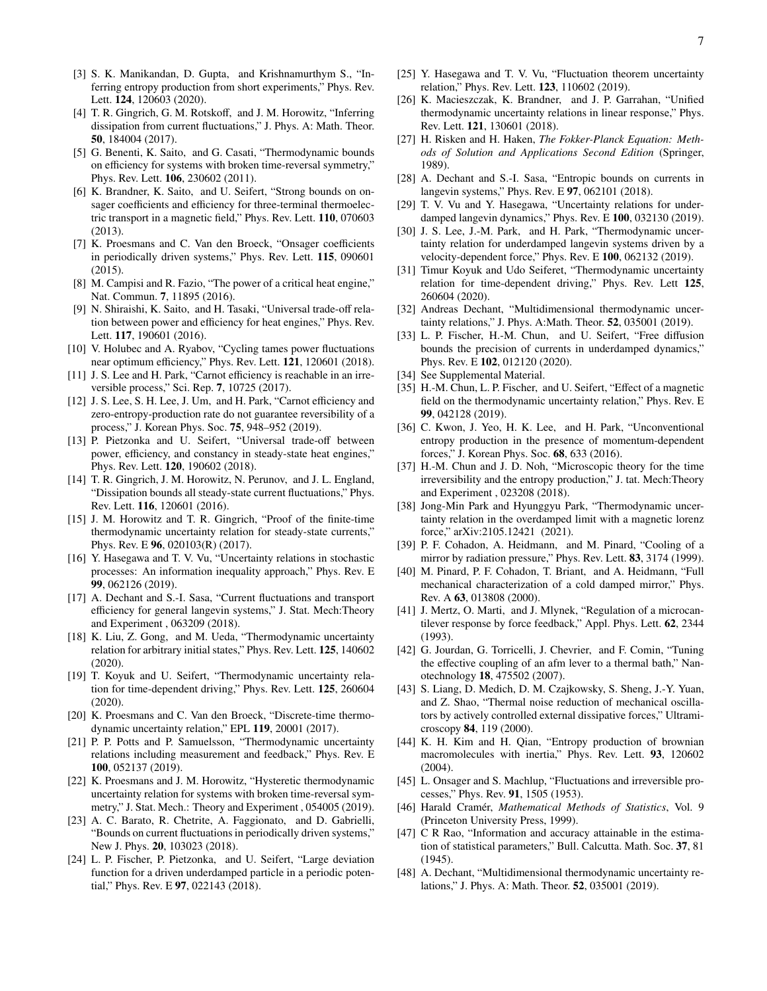- [3] S. K. Manikandan, D. Gupta, and Krishnamurthym S., "Inferring entropy production from short experiments," Phys. Rev. Lett. 124, 120603 (2020).
- [4] T. R. Gingrich, G. M. Rotskoff, and J. M. Horowitz, "Inferring dissipation from current fluctuations," J. Phys. A: Math. Theor. 50, 184004 (2017).
- [5] G. Benenti, K. Saito, and G. Casati, "Thermodynamic bounds on efficiency for systems with broken time-reversal symmetry," Phys. Rev. Lett. 106, 230602 (2011).
- [6] K. Brandner, K. Saito, and U. Seifert, "Strong bounds on onsager coefficients and efficiency for three-terminal thermoelectric transport in a magnetic field," Phys. Rev. Lett. 110, 070603 (2013).
- [7] K. Proesmans and C. Van den Broeck, "Onsager coefficients in periodically driven systems," Phys. Rev. Lett. 115, 090601 (2015).
- [8] M. Campisi and R. Fazio, "The power of a critical heat engine," Nat. Commun. 7, 11895 (2016).
- [9] N. Shiraishi, K. Saito, and H. Tasaki, "Universal trade-off relation between power and efficiency for heat engines," Phys. Rev. Lett. 117, 190601 (2016).
- [10] V. Holubec and A. Ryabov, "Cycling tames power fluctuations near optimum efficiency," Phys. Rev. Lett. 121, 120601 (2018).
- [11] J. S. Lee and H. Park, "Carnot efficiency is reachable in an irreversible process," Sci. Rep. 7, 10725 (2017).
- [12] J. S. Lee, S. H. Lee, J. Um, and H. Park, "Carnot efficiency and zero-entropy-production rate do not guarantee reversibility of a process," J. Korean Phys. Soc. 75, 948–952 (2019).
- [13] P. Pietzonka and U. Seifert, "Universal trade-off between power, efficiency, and constancy in steady-state heat engines," Phys. Rev. Lett. 120, 190602 (2018).
- [14] T. R. Gingrich, J. M. Horowitz, N. Perunov, and J. L. England, "Dissipation bounds all steady-state current fluctuations," Phys. Rev. Lett. 116, 120601 (2016).
- [15] J. M. Horowitz and T. R. Gingrich, "Proof of the finite-time thermodynamic uncertainty relation for steady-state currents," Phys. Rev. E 96, 020103(R) (2017).
- [16] Y. Hasegawa and T. V. Vu, "Uncertainty relations in stochastic processes: An information inequality approach," Phys. Rev. E 99, 062126 (2019).
- [17] A. Dechant and S.-I. Sasa, "Current fluctuations and transport efficiency for general langevin systems," J. Stat. Mech:Theory and Experiment , 063209 (2018).
- [18] K. Liu, Z. Gong, and M. Ueda, "Thermodynamic uncertainty relation for arbitrary initial states," Phys. Rev. Lett. 125, 140602 (2020).
- [19] T. Koyuk and U. Seifert, "Thermodynamic uncertainty relation for time-dependent driving," Phys. Rev. Lett. 125, 260604 (2020).
- [20] K. Proesmans and C. Van den Broeck, "Discrete-time thermodynamic uncertainty relation," EPL 119, 20001 (2017).
- [21] P. P. Potts and P. Samuelsson, "Thermodynamic uncertainty relations including measurement and feedback," Phys. Rev. E 100, 052137 (2019).
- [22] K. Proesmans and J. M. Horowitz, "Hysteretic thermodynamic uncertainty relation for systems with broken time-reversal symmetry," J. Stat. Mech.: Theory and Experiment , 054005 (2019).
- [23] A. C. Barato, R. Chetrite, A. Faggionato, and D. Gabrielli, "Bounds on current fluctuations in periodically driven systems," New J. Phys. 20, 103023 (2018).
- [24] L. P. Fischer, P. Pietzonka, and U. Seifert, "Large deviation function for a driven underdamped particle in a periodic potential," Phys. Rev. E 97, 022143 (2018).
- [25] Y. Hasegawa and T. V. Vu, "Fluctuation theorem uncertainty relation," Phys. Rev. Lett. 123, 110602 (2019).
- [26] K. Macieszczak, K. Brandner, and J. P. Garrahan, "Unified thermodynamic uncertainty relations in linear response," Phys. Rev. Lett. 121, 130601 (2018).
- [27] H. Risken and H. Haken, *The Fokker-Planck Equation: Methods of Solution and Applications Second Edition* (Springer, 1989).
- [28] A. Dechant and S.-I. Sasa, "Entropic bounds on currents in langevin systems," Phys. Rev. E 97, 062101 (2018).
- [29] T. V. Vu and Y. Hasegawa, "Uncertainty relations for underdamped langevin dynamics," Phys. Rev. E 100, 032130 (2019).
- [30] J. S. Lee, J.-M. Park, and H. Park, "Thermodynamic uncertainty relation for underdamped langevin systems driven by a velocity-dependent force," Phys. Rev. E 100, 062132 (2019).
- [31] Timur Koyuk and Udo Seiferet, "Thermodynamic uncertainty relation for time-dependent driving," Phys. Rev. Lett 125, 260604 (2020).
- [32] Andreas Dechant, "Multidimensional thermodynamic uncertainty relations," J. Phys. A:Math. Theor. 52, 035001 (2019).
- [33] L. P. Fischer, H.-M. Chun, and U. Seifert, "Free diffusion bounds the precision of currents in underdamped dynamics," Phys. Rev. E 102, 012120 (2020).
- [34] See Supplemental Material.
- [35] H.-M. Chun, L. P. Fischer, and U. Seifert, "Effect of a magnetic field on the thermodynamic uncertainty relation," Phys. Rev. E 99, 042128 (2019).
- [36] C. Kwon, J. Yeo, H. K. Lee, and H. Park, "Unconventional entropy production in the presence of momentum-dependent forces," J. Korean Phys. Soc. 68, 633 (2016).
- [37] H.-M. Chun and J. D. Noh, "Microscopic theory for the time irreversibility and the entropy production," J. tat. Mech:Theory and Experiment , 023208 (2018).
- [38] Jong-Min Park and Hyunggyu Park, "Thermodynamic uncertainty relation in the overdamped limit with a magnetic lorenz force," arXiv:2105.12421 (2021).
- [39] P. F. Cohadon, A. Heidmann, and M. Pinard, "Cooling of a mirror by radiation pressure," Phys. Rev. Lett. 83, 3174 (1999).
- [40] M. Pinard, P. F. Cohadon, T. Briant, and A. Heidmann, "Full mechanical characterization of a cold damped mirror," Phys. Rev. A 63, 013808 (2000).
- [41] J. Mertz, O. Marti, and J. Mlynek, "Regulation of a microcantilever response by force feedback," Appl. Phys. Lett. 62, 2344 (1993).
- [42] G. Jourdan, G. Torricelli, J. Chevrier, and F. Comin, "Tuning" the effective coupling of an afm lever to a thermal bath," Nanotechnology 18, 475502 (2007).
- [43] S. Liang, D. Medich, D. M. Czajkowsky, S. Sheng, J.-Y. Yuan, and Z. Shao, "Thermal noise reduction of mechanical oscillators by actively controlled external dissipative forces," Ultramicroscopy 84, 119 (2000).
- [44] K. H. Kim and H. Qian, "Entropy production of brownian macromolecules with inertia," Phys. Rev. Lett. 93, 120602 (2004).
- [45] L. Onsager and S. Machlup, "Fluctuations and irreversible processes," Phys. Rev. 91, 1505 (1953).
- [46] Harald Cramér, *Mathematical Methods of Statistics*, Vol. 9 (Princeton University Press, 1999).
- [47] C R Rao, "Information and accuracy attainable in the estimation of statistical parameters," Bull. Calcutta. Math. Soc. 37, 81 (1945).
- [48] A. Dechant, "Multidimensional thermodynamic uncertainty relations," J. Phys. A: Math. Theor. 52, 035001 (2019).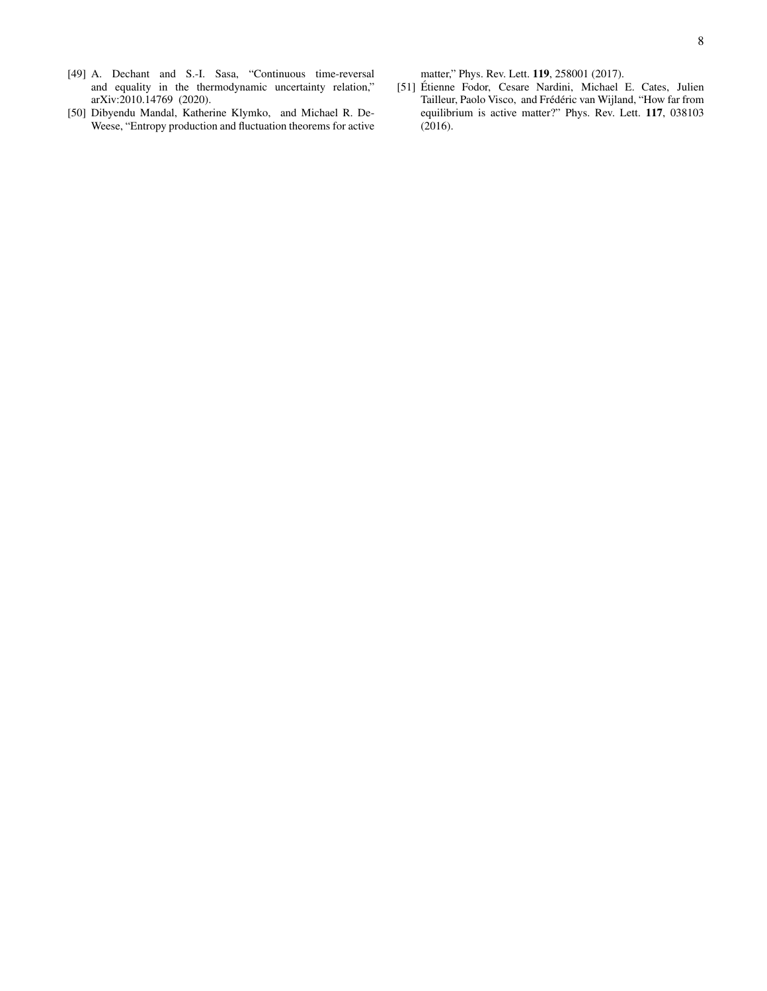- [49] A. Dechant and S.-I. Sasa, "Continuous time-reversal and equality in the thermodynamic uncertainty relation," arXiv:2010.14769 (2020).
- [50] Dibyendu Mandal, Katherine Klymko, and Michael R. De-Weese, "Entropy production and fluctuation theorems for active

matter," Phys. Rev. Lett. 119, 258001 (2017).

[51] Etienne Fodor, Cesare Nardini, Michael E. Cates, Julien ´ Tailleur, Paolo Visco, and Frédéric van Wijland, "How far from equilibrium is active matter?" Phys. Rev. Lett. 117, 038103 (2016).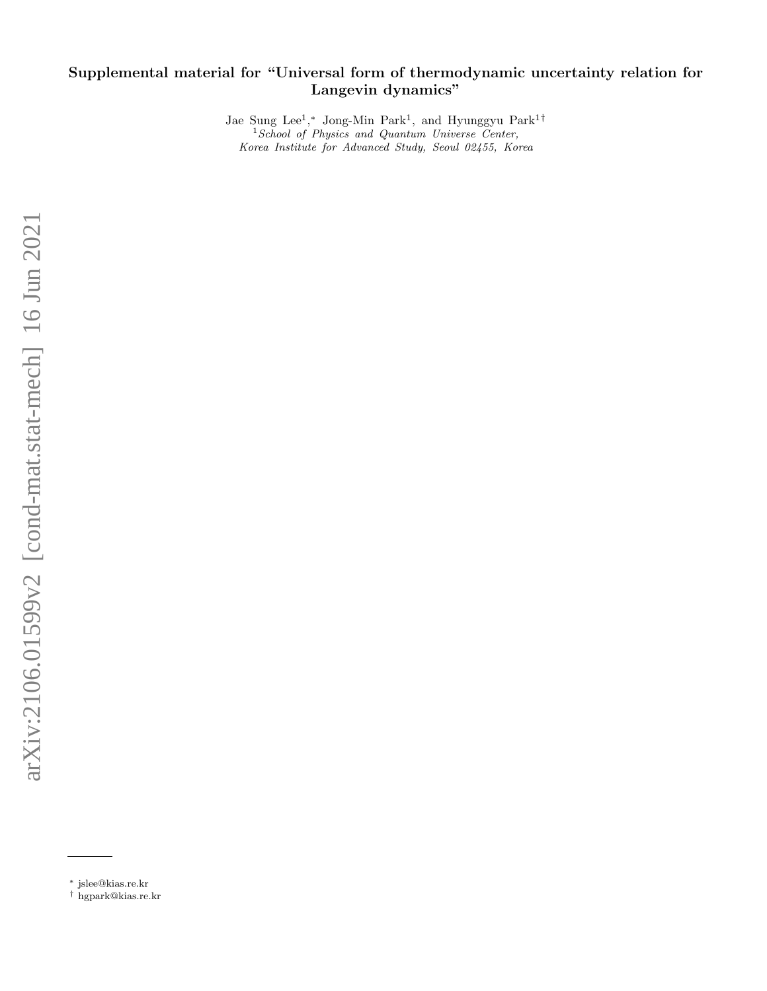# Supplemental material for "Universal form of thermodynamic uncertainty relation for Langevin dynamics"

Jae Sung Lee<sup>1</sup>,\* Jong-Min Park<sup>1</sup>, and Hyunggyu Park<sup>1†</sup> <sup>1</sup> School of Physics and Quantum Universe Center, Korea Institute for Advanced Study, Seoul 02455, Korea

<sup>∗</sup> jslee@kias.re.kr

<sup>†</sup> hgpark@kias.re.kr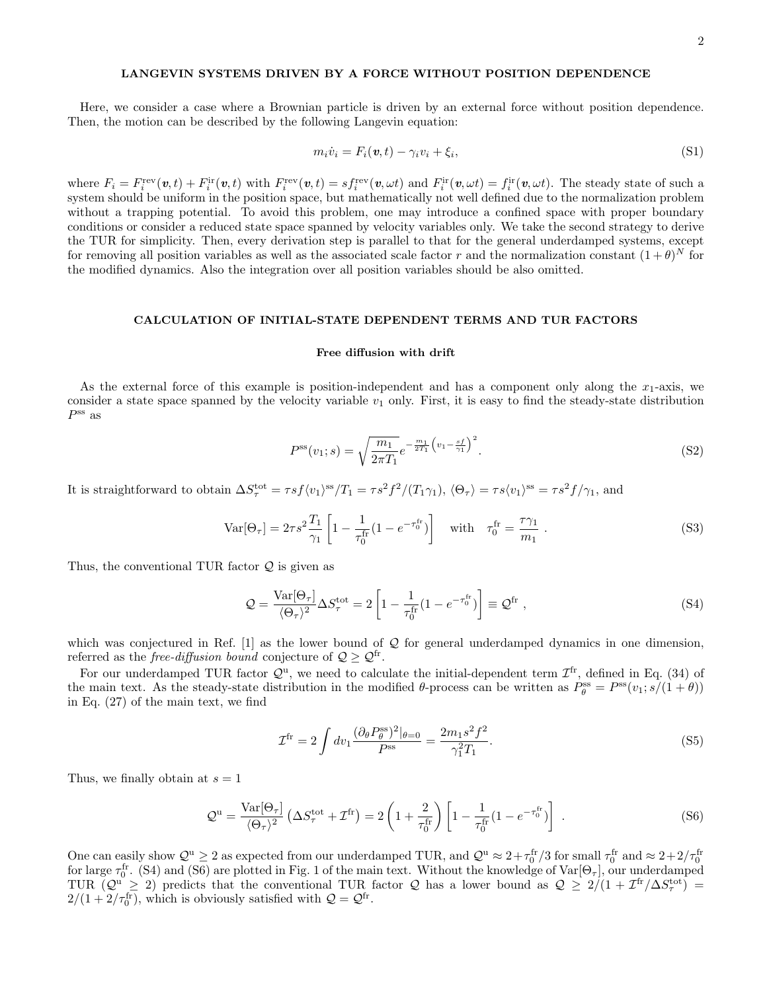# LANGEVIN SYSTEMS DRIVEN BY A FORCE WITHOUT POSITION DEPENDENCE

Here, we consider a case where a Brownian particle is driven by an external force without position dependence. Then, the motion can be described by the following Langevin equation:

$$
m_i \dot{v}_i = F_i(\mathbf{v}, t) - \gamma_i v_i + \xi_i,
$$
\n(S1)

where  $F_i = F_i^{\text{rev}}(\boldsymbol{v}, t) + F_i^{\text{ir}}(\boldsymbol{v}, t)$  with  $F_i^{\text{rev}}(\boldsymbol{v}, t) = s f_i^{\text{rev}}(\boldsymbol{v}, \omega t)$  and  $F_i^{\text{ir}}(\boldsymbol{v}, \omega t) = f_i^{\text{ir}}(\boldsymbol{v}, \omega t)$ . The steady state of such a system should be uniform in the position space, but mathematically not well defined due to the normalization problem without a trapping potential. To avoid this problem, one may introduce a confined space with proper boundary conditions or consider a reduced state space spanned by velocity variables only. We take the second strategy to derive the TUR for simplicity. Then, every derivation step is parallel to that for the general underdamped systems, except for removing all position variables as well as the associated scale factor r and the normalization constant  $(1+\theta)^N$  for the modified dynamics. Also the integration over all position variables should be also omitted.

### CALCULATION OF INITIAL-STATE DEPENDENT TERMS AND TUR FACTORS

#### Free diffusion with drift

As the external force of this example is position-independent and has a component only along the  $x_1$ -axis, we consider a state space spanned by the velocity variable  $v_1$  only. First, it is easy to find the steady-state distribution  $P^{\rm ss}$  as

$$
P^{\rm ss}(v_1; s) = \sqrt{\frac{m_1}{2\pi T_1}} e^{-\frac{m_1}{2T_1} \left(v_1 - \frac{sf}{\gamma_1}\right)^2}.
$$
\n(S2)

It is straightforward to obtain  $\Delta S_{\tau}^{\text{tot}} = \tau s f \langle v_1 \rangle^{\text{ss}} / T_1 = \tau s^2 f^2 / (T_1 \gamma_1), \langle \Theta_{\tau} \rangle = \tau s \langle v_1 \rangle^{\text{ss}} = \tau s^2 f / \gamma_1$ , and

$$
\text{Var}[\Theta_{\tau}] = 2\tau s^2 \frac{T_1}{\gamma_1} \left[ 1 - \frac{1}{\tau_0^{\text{fr}}}(1 - e^{-\tau_0^{\text{fr}}}) \right] \quad \text{with} \quad \tau_0^{\text{fr}} = \frac{\tau \gamma_1}{m_1} \ . \tag{S3}
$$

Thus, the conventional TUR factor  $Q$  is given as

$$
\mathcal{Q} = \frac{\text{Var}[\Theta_{\tau}]}{\langle \Theta_{\tau} \rangle^2} \Delta S_{\tau}^{\text{tot}} = 2 \left[ 1 - \frac{1}{\tau_0^{\text{fr}}} (1 - e^{-\tau_0^{\text{fr}}}) \right] \equiv \mathcal{Q}^{\text{fr}} , \qquad (S4)
$$

which was conjectured in Ref.  $[1]$  as the lower bound of  $Q$  for general underdamped dynamics in one dimension, referred as the *free-diffusion bound* conjecture of  $Q \geq Q^{\text{fr}}$ .

For our underdamped TUR factor  $\mathcal{Q}^u$ , we need to calculate the initial-dependent term  $\mathcal{I}^{\text{fr}}$ , defined in Eq. (34) of the main text. As the steady-state distribution in the modified  $\theta$ -process can be written as  $P_{\theta}^{\text{ss}} = P^{\text{ss}}(v_1; s/(1+\theta))$ in Eq. (27) of the main text, we find

$$
\mathcal{I}^{\text{fr}} = 2 \int dv_1 \frac{(\partial_\theta P_\theta^{\text{ss}})^2 |_{\theta=0}}{P^{\text{ss}}} = \frac{2m_1 s^2 f^2}{\gamma_1^2 T_1}.
$$
 (S5)

Thus, we finally obtain at  $s = 1$ 

$$
\mathcal{Q}^{\mathrm{u}} = \frac{\mathrm{Var}[\Theta_{\tau}]}{\langle \Theta_{\tau} \rangle^{2}} \left( \Delta S_{\tau}^{\mathrm{tot}} + \mathcal{I}^{\mathrm{fr}} \right) = 2 \left( 1 + \frac{2}{\tau_{0}^{\mathrm{fr}}} \right) \left[ 1 - \frac{1}{\tau_{0}^{\mathrm{fr}}} (1 - e^{-\tau_{0}^{\mathrm{fr}}}) \right] . \tag{S6}
$$

One can easily show  $\mathcal{Q}^{\mathrm{u}} \geq 2$  as expected from our underdamped TUR, and  $\mathcal{Q}^{\mathrm{u}} \approx 2 + \tau_0^{\mathrm{fr}}/3$  for small  $\tau_0^{\mathrm{fr}}$  and  $\approx 2 + 2/\tau_0^{\mathrm{fr}}$ for large  $\tau_0^{\text{fr}}$ . (S4) and (S6) are plotted in Fig. 1 of the main text. Without the knowledge of  $\text{Var}[\Theta_\tau]$ , our underdamped TUR  $(Q^u \geq 2)$  predicts that the conventional TUR factor Q has a lower bound as  $Q \geq 2/(1 + \mathcal{I}^{\text{fr}}/\Delta S_{\tau}^{\text{tot}})$  $2/(1+2/\tau_0^{\text{fr}})$ , which is obviously satisfied with  $\mathcal{Q} = \mathcal{Q}^{\text{fr}}$ .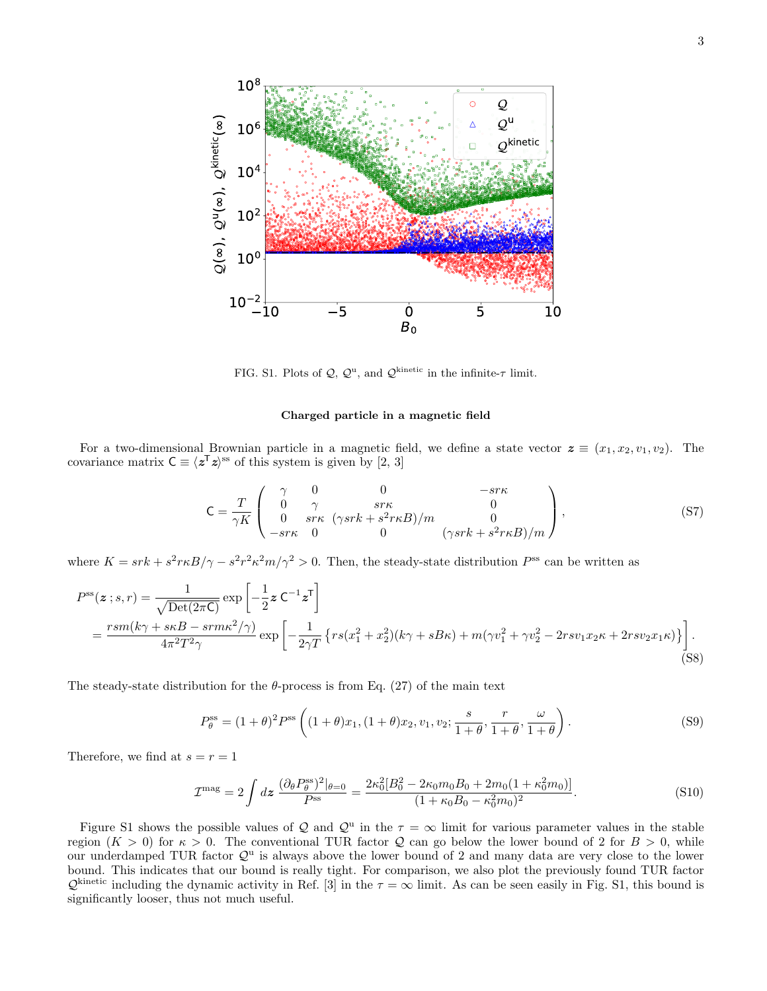

FIG. S1. Plots of  $\mathcal{Q}, \mathcal{Q}^{\text{u}}$ , and  $\mathcal{Q}^{\text{kinetic}}$  in the infinite- $\tau$  limit.

### Charged particle in a magnetic field

For a two-dimensional Brownian particle in a magnetic field, we define a state vector  $z \equiv (x_1, x_2, v_1, v_2)$ . The covariance matrix  $C \equiv \langle z^T z \rangle^{\text{ss}}$  of this system is given by [2, 3]

$$
\mathsf{C} = \frac{T}{\gamma K} \left( \begin{array}{cccc} \gamma & 0 & 0 & -s\tau\kappa \\ 0 & \gamma & s\tau\kappa & 0 \\ 0 & s\tau\kappa & (\gamma s\tau k + s^2\tau\kappa B)/m & 0 \\ -s\tau\kappa & 0 & 0 & (\gamma s\tau k + s^2\tau\kappa B)/m \end{array} \right),\tag{S7}
$$

where  $K = srk + s^2r\kappa B/\gamma - s^2r^2\kappa^2m/\gamma^2 > 0$ . Then, the steady-state distribution  $P^{ss}$  can be written as

$$
P^{ss}(z;s,r) = \frac{1}{\sqrt{\text{Det}(2\pi\mathsf{C})}} \exp\left[-\frac{1}{2}z\,\mathsf{C}^{-1}z^{\mathsf{T}}\right]
$$
  
= 
$$
\frac{rsm(k\gamma + skB - srmk^2/\gamma)}{4\pi^2T^2\gamma} \exp\left[-\frac{1}{2\gamma T}\left\{rs(x_1^2 + x_2^2)(k\gamma + sB\kappa) + m(\gamma v_1^2 + \gamma v_2^2 - 2rsv_1x_2\kappa + 2rsv_2x_1\kappa)\right\}\right].
$$
 (S8)

The steady-state distribution for the  $\theta$ -process is from Eq. (27) of the main text

$$
P_{\theta}^{\text{ss}} = (1+\theta)^2 P^{\text{ss}} \left( (1+\theta)x_1, (1+\theta)x_2, v_1, v_2; \frac{s}{1+\theta}, \frac{r}{1+\theta}, \frac{\omega}{1+\theta} \right). \tag{S9}
$$

Therefore, we find at  $s = r = 1$ 

$$
\mathcal{I}^{\text{mag}} = 2 \int d\mathbf{z} \, \frac{(\partial_{\theta} P_{\theta}^{\text{ss}})^2 |_{\theta=0}}{P^{\text{ss}}} = \frac{2\kappa_0^2 [B_0^2 - 2\kappa_0 m_0 B_0 + 2m_0 (1 + \kappa_0^2 m_0)]}{(1 + \kappa_0 B_0 - \kappa_0^2 m_0)^2}.
$$
\n
$$
(S10)
$$

Figure S1 shows the possible values of Q and  $\mathcal{Q}^u$  in the  $\tau = \infty$  limit for various parameter values in the stable region  $(K > 0)$  for  $\kappa > 0$ . The conventional TUR factor Q can go below the lower bound of 2 for  $B > 0$ , while our underdamped TUR factor  $\mathcal{Q}^u$  is always above the lower bound of 2 and many data are very close to the lower bound. This indicates that our bound is really tight. For comparison, we also plot the previously found TUR factor  $\mathcal{Q}^{\text{kinetic}}$  including the dynamic activity in Ref. [3] in the  $\tau = \infty$  limit. As can be seen easily in Fig. S1, this bound is significantly looser, thus not much useful.